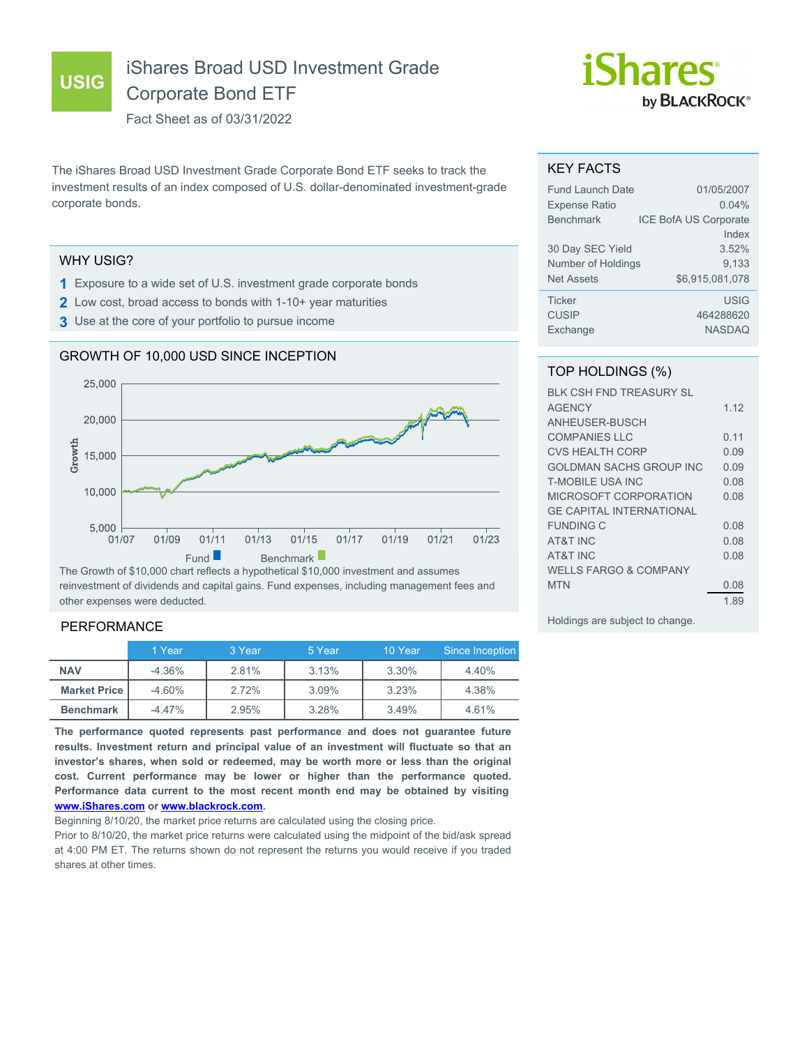**USIG**

# iShares Broad USD Investment Grade Corporate Bond ETF

Fact Sheet as of 03/31/2022

The iShares Broad USD Investment Grade Corporate Bond ETF seeks to track the investment results of an index composed of U.S. dollar-denominated investment-grade corporate bonds.

## WHY USIG?

- **1** Exposure to a wide set of U.S. investment grade corporate bonds
- **2** Low cost, broad access to bonds with 1-10+ year maturities
- **3** Use at the core of your portfolio to pursue income





The Growth of \$10,000 chart reflects a hypothetical \$10,000 investment and assumes reinvestment of dividends and capital gains. Fund expenses, including management fees and other expenses were deducted.

# PERFORMANCE

|                       | 1 Year   | 3 Year | 5 Year | 10 Year | Since Inception |
|-----------------------|----------|--------|--------|---------|-----------------|
| <b>NAV</b>            | $-4.36%$ | 2.81%  | 3.13%  | 3.30%   | 4.40%           |
| <b>Market Price  </b> | $-4.60%$ | 2.72%  | 3.09%  | 3.23%   | 4.38%           |
| <b>Benchmark</b>      | $-4.47%$ | 2.95%  | 3.28%  | 3.49%   | 4.61%           |

**The performance quoted represents past performance and does not guarantee future results. Investment return and principal value of an investment will fluctuate so that an investor's shares, when sold or redeemed, may be worth more or less than the original cost. Current performance may be lower or higher than the performance quoted. Performance data current to the most recent month end may be obtained by visiting [www.iShares.com](http://www.iShares.com) or [www.blackrock.com](http://www.blackrock.com).**

Beginning 8/10/20, the market price returns are calculated using the closing price.

Prior to 8/10/20, the market price returns were calculated using the midpoint of the bid/ask spread at 4:00 PM ET. The returns shown do not represent the returns you would receive if you traded shares at other times.



#### KEY FACTS

| <b>Fund Launch Date</b> | 01/05/2007                   |
|-------------------------|------------------------------|
| <b>Expense Ratio</b>    | $0.04\%$                     |
| <b>Benchmark</b>        | <b>ICE BofA US Corporate</b> |
|                         | Index                        |
| 30 Day SEC Yield        | 3.52%                        |
| Number of Holdings      | 9,133                        |
| <b>Net Assets</b>       | \$6.915.081.078              |
| <b>Ticker</b>           | <b>USIG</b>                  |
| <b>CUSIP</b>            | 464288620                    |
| Exchange                | <b>NASDAQ</b>                |

# TOP HOLDINGS (%)

| <b>BLK CSH FND TREASURY SL</b>   |       |
|----------------------------------|-------|
| <b>AGENCY</b>                    | 1 1 2 |
| ANHEUSER-BUSCH                   |       |
| <b>COMPANIES LLC</b>             | 0.11  |
| <b>CVS HEALTH CORP</b>           | 0.09  |
| <b>GOLDMAN SACHS GROUP INC</b>   | 0.09  |
| <b>T-MOBILE USA INC</b>          | 0.08  |
| MICROSOFT CORPORATION            | 0.08  |
| <b>GE CAPITAL INTERNATIONAL</b>  |       |
| FUNDING C                        | 0.08  |
| <b>AT&amp;T INC</b>              | 0.08  |
| <b>AT&amp;T INC</b>              | 0.08  |
| <b>WELLS FARGO &amp; COMPANY</b> |       |
| <b>MTN</b>                       | 0.08  |
|                                  | 189   |
|                                  |       |

Holdings are subject to change.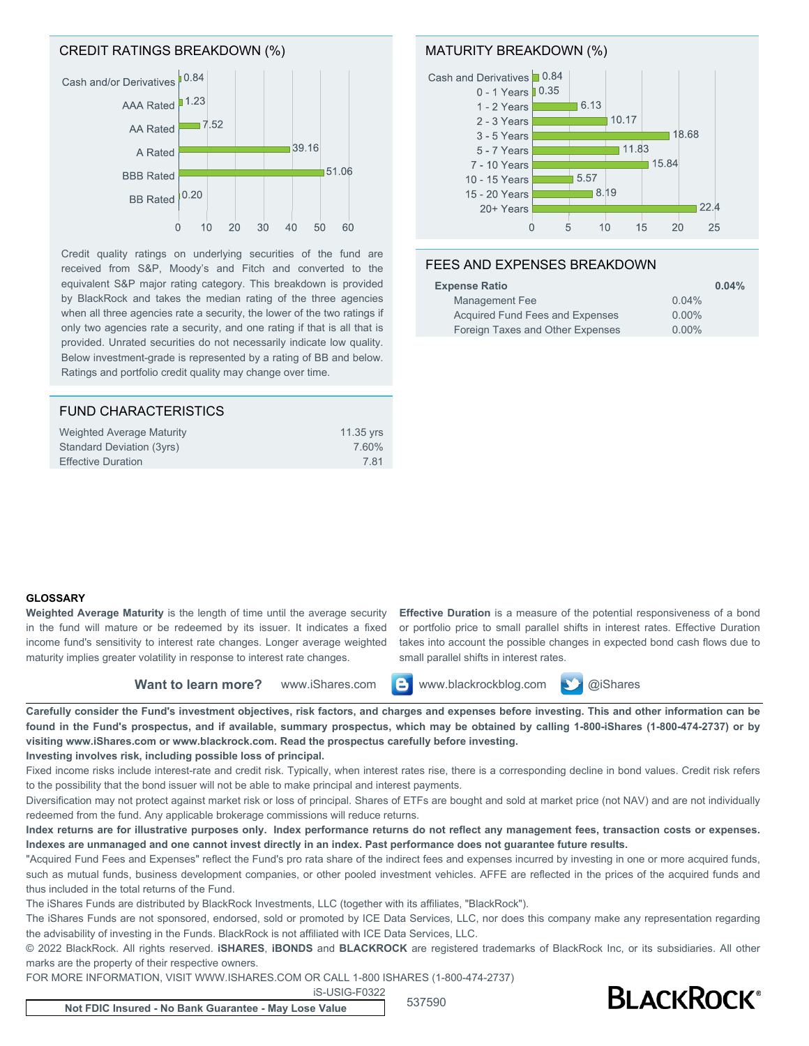## CREDIT RATINGS BREAKDOWN (%)



Credit quality ratings on underlying securities of the fund are received from S&P, Moody's and Fitch and converted to the equivalent S&P major rating category. This breakdown is provided by BlackRock and takes the median rating of the three agencies when all three agencies rate a security, the lower of the two ratings if only two agencies rate a security, and one rating if that is all that is provided. Unrated securities do not necessarily indicate low quality. Below investment-grade is represented by a rating of BB and below. Ratings and portfolio credit quality may change over time.

| 11.35 yrs |
|-----------|
| 7.60%     |
| 781       |
|           |

## MATURITY BREAKDOWN (%)



## FEES AND EXPENSES BREAKDOWN

| <b>Expense Ratio</b>             | 0.04%    |
|----------------------------------|----------|
| Management Fee                   | 0.04%    |
| Acquired Fund Fees and Expenses  | $0.00\%$ |
| Foreign Taxes and Other Expenses | $0.00\%$ |

#### **GLOSSARY**

**Weighted Average Maturity** is the length of time until the average security in the fund will mature or be redeemed by its issuer. It indicates a fixed income fund's sensitivity to interest rate changes. Longer average weighted maturity implies greater volatility in response to interest rate changes.

**Effective Duration** is a measure of the potential responsiveness of a bond or portfolio price to small parallel shifts in interest rates. Effective Duration takes into account the possible changes in expected bond cash flows due to small parallel shifts in interest rates.

**Want to learn more?** www.iShares.com **C** www.blackrockblog.com **W** @iShares



**Carefully consider the Fund's investment objectives, risk factors, and charges and expenses before investing. This and other information can be found in the Fund's prospectus, and if available, summary prospectus, which may be obtained by calling 1-800-iShares (1-800-474-2737) or by visiting www.iShares.com or www.blackrock.com. Read the prospectus carefully before investing.**

#### **Investing involves risk, including possible loss of principal.**

Fixed income risks include interest-rate and credit risk. Typically, when interest rates rise, there is a corresponding decline in bond values. Credit risk refers to the possibility that the bond issuer will not be able to make principal and interest payments.

Diversification may not protect against market risk or loss of principal. Shares of ETFs are bought and sold at market price (not NAV) and are not individually redeemed from the fund. Any applicable brokerage commissions will reduce returns.

**Index returns are for illustrative purposes only. Index performance returns do not reflect any management fees, transaction costs or expenses. Indexes are unmanaged and one cannot invest directly in an index. Past performance does not guarantee future results.**

"Acquired Fund Fees and Expenses" reflect the Fund's pro rata share of the indirect fees and expenses incurred by investing in one or more acquired funds, such as mutual funds, business development companies, or other pooled investment vehicles. AFFE are reflected in the prices of the acquired funds and thus included in the total returns of the Fund.

The iShares Funds are distributed by BlackRock Investments, LLC (together with its affiliates, "BlackRock").

The iShares Funds are not sponsored, endorsed, sold or promoted by ICE Data Services, LLC, nor does this company make any representation regarding the advisability of investing in the Funds. BlackRock is not affiliated with ICE Data Services, LLC.

© 2022 BlackRock. All rights reserved. **iSHARES**, **iBONDS** and **BLACKROCK** are registered trademarks of BlackRock Inc, or its subsidiaries. All other marks are the property of their respective owners.

FOR MORE INFORMATION, VISIT WWW.ISHARES.COM OR CALL 1-800 ISHARES (1-800-474-2737)

iS-USIG-F0322